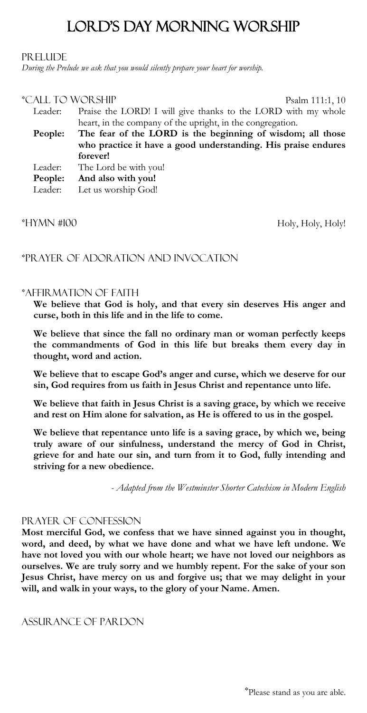# LOrd's Day MOrning WOrship

#### PR ELLIDE

*During the Prelude we ask that you would silently prepare your heart for worship.*

#### \*Call tO WOrship Psalm 111:1, 10

Leader: Praise the LORD! I will give thanks to the LORD with my whole heart, in the company of the upright, in the congregation. **People: The fear of the LORD is the beginning of wisdom; all those who practice it have a good understanding. His praise endures forever!**  Leader: The Lord be with you! **People: And also with you!** Leader: Let us worship God!

\*HYMN #100 Holy, Holy, Holy, Holy, Holy!

# \*Prayer Of AdOratiOn and InvOcatiOn

### \*AffirmatiOn Of Faith

**We believe that God is holy, and that every sin deserves His anger and curse, both in this life and in the life to come.**

**We believe that since the fall no ordinary man or woman perfectly keeps the commandments of God in this life but breaks them every day in thought, word and action.**

**We believe that to escape God's anger and curse, which we deserve for our sin, God requires from us faith in Jesus Christ and repentance unto life.**

**We believe that faith in Jesus Christ is a saving grace, by which we receive and rest on Him alone for salvation, as He is offered to us in the gospel.**

**We believe that repentance unto life is a saving grace, by which we, being truly aware of our sinfulness, understand the mercy of God in Christ, grieve for and hate our sin, and turn from it to God, fully intending and striving for a new obedience.** 

*- Adapted from the Westminster Shorter Catechism in Modern English*

#### PRAYER OF CONFESSION

**Most merciful God, we confess that we have sinned against you in thought, word, and deed, by what we have done and what we have left undone. We have not loved you with our whole heart; we have not loved our neighbors as ourselves. We are truly sorry and we humbly repent. For the sake of your son Jesus Christ, have mercy on us and forgive us; that we may delight in your will, and walk in your ways, to the glory of your Name. Amen.** 

#### Assurance Of pardon